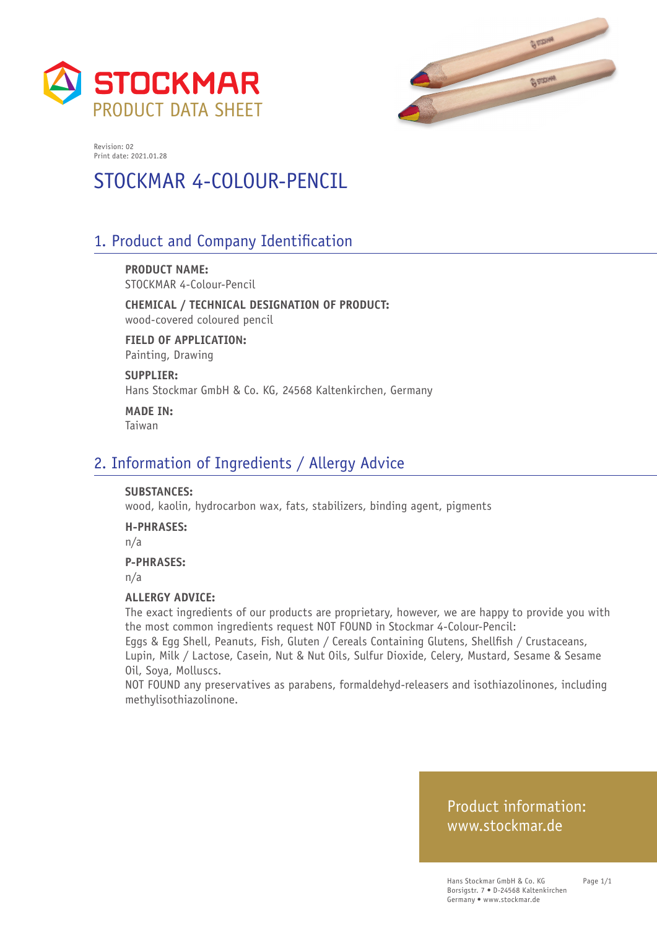



# STOCKMAR 4-COLOUR-PENCIL

# 1. Product and Company Identification

**PRODUCT NAME:** STOCKMAR 4-Colour-Pencil

**CHEMICAL / TECHNICAL DESIGNATION OF PRODUCT:** wood-covered coloured pencil

**FIELD OF APPLICATION:** Painting, Drawing

**SUPPLIER:** Hans Stockmar GmbH & Co. KG, 24568 Kaltenkirchen, Germany

**MADE IN:** Taiwan

# 2. Information of Ingredients / Allergy Advice

#### **SUBSTANCES:**

wood, kaolin, hydrocarbon wax, fats, stabilizers, binding agent, pigments

**H-PHRASES:**

n/a

#### **P-PHRASES:**

n/a

#### **ALLERGY ADVICE:**

The exact ingredients of our products are proprietary, however, we are happy to provide you with the most common ingredients request NOT FOUND in Stockmar 4-Colour-Pencil:

Eggs & Egg Shell, Peanuts, Fish, Gluten / Cereals Containing Glutens, Shellfish / Crustaceans, Lupin, Milk / Lactose, Casein, Nut & Nut Oils, Sulfur Dioxide, Celery, Mustard, Sesame & Sesame Oil, Soya, Molluscs.

NOT FOUND any preservatives as parabens, formaldehyd-releasers and isothiazolinones, including methylisothiazolinone.

## Product information: www.stockmar.de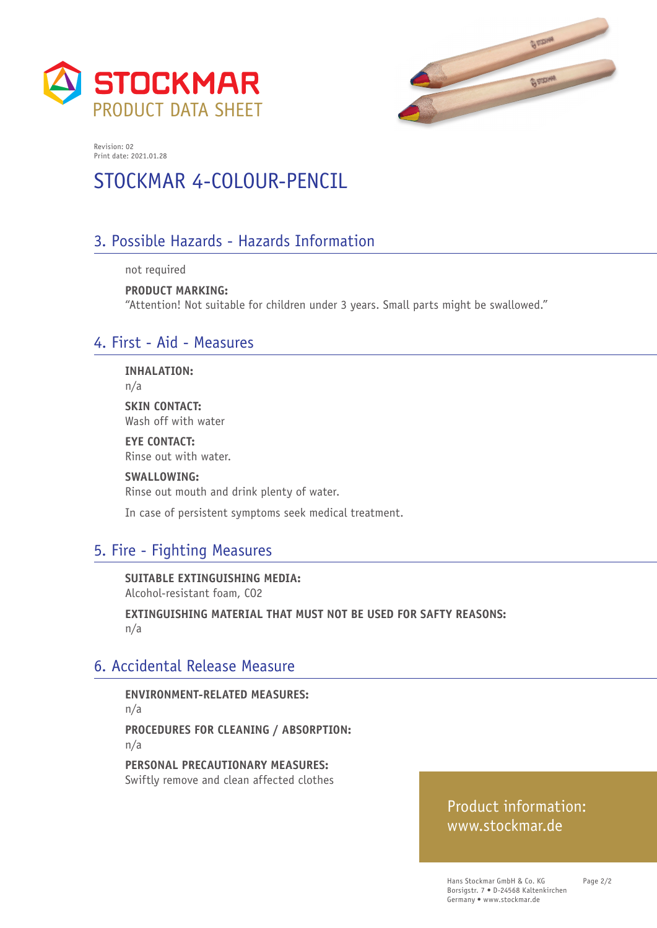



# STOCKMAR 4-COLOUR-PENCIL

# 3. Possible Hazards - Hazards Information

not required

**PRODUCT MARKING:**  "Attention! Not suitable for children under 3 years. Small parts might be swallowed."

# 4. First - Aid - Measures

**INHALATION:**

n/a

**SKIN CONTACT:** Wash off with water

**EYE CONTACT:** Rinse out with water.

**SWALLOWING:** Rinse out mouth and drink plenty of water.

In case of persistent symptoms seek medical treatment.

# 5. Fire - Fighting Measures

**SUITABLE EXTINGUISHING MEDIA:**  Alcohol-resistant foam, CO2

**EXTINGUISHING MATERIAL THAT MUST NOT BE USED FOR SAFTY REASONS:**  n/a

## 6. Accidental Release Measure

**ENVIRONMENT-RELATED MEASURES:**  n/a **PROCEDURES FOR CLEANING / ABSORPTION:**  n/a

**PERSONAL PRECAUTIONARY MEASURES:**  Swiftly remove and clean affected clothes

# Product information: www.stockmar.de

Page 2/2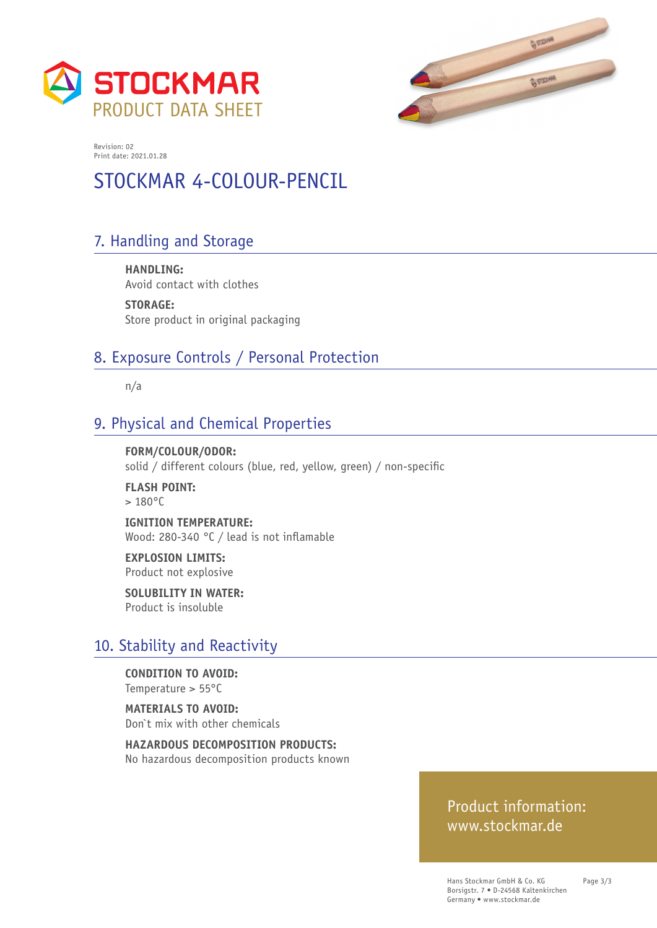



# STOCKMAR 4-COLOUR-PENCIL

# 7. Handling and Storage

**HANDLING:**  Avoid contact with clothes

**STORAGE:**  Store product in original packaging

# 8. Exposure Controls / Personal Protection

n/a

# 9. Physical and Chemical Properties

**FORM/COLOUR/ODOR:**  solid / different colours (blue, red, yellow, green) / non-specific

**FLASH POINT:**   $> 180^{\circ}$ C

**IGNITION TEMPERATURE:**  Wood: 280-340 °C / lead is not inflamable

**EXPLOSION LIMITS:**  Product not explosive

**SOLUBILITY IN WATER:**  Product is insoluble

## 10. Stability and Reactivity

**CONDITION TO AVOID:**  Temperature > 55°C

**MATERIALS TO AVOID:**  Don`t mix with other chemicals

**HAZARDOUS DECOMPOSITION PRODUCTS:**  No hazardous decomposition products known

## Product information: www.stockmar.de